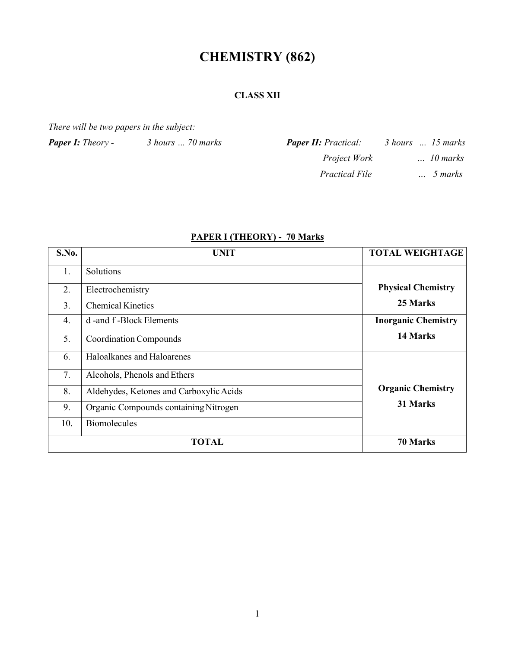# **CHEMISTRY (862)**

# **CLASS XII**

*There will be two papers in the subject:*

*Paper I: Theory - 3 hours ... 70 marks* 

| <b>Paper I:</b> Theory - | $\beta$ hours $\ldots$ 70 marks | <b>Paper II:</b> Practical: | 3 hours  15 marks |                   |
|--------------------------|---------------------------------|-----------------------------|-------------------|-------------------|
|                          |                                 | Project Work                |                   | $\ldots$ 10 marks |
|                          |                                 | <i>Practical File</i>       |                   | $\ldots$ 5 marks  |

# **PAPER I (THEORY) - 70 Marks**

| S.No. | <b>UNIT</b>                             | <b>TOTAL WEIGHTAGE</b>     |  |  |  |
|-------|-----------------------------------------|----------------------------|--|--|--|
| 1.    | Solutions                               |                            |  |  |  |
| 2.    | Electrochemistry                        | <b>Physical Chemistry</b>  |  |  |  |
| 3.    | <b>Chemical Kinetics</b>                | 25 Marks                   |  |  |  |
| 4.    | d-and f-Block Elements                  | <b>Inorganic Chemistry</b> |  |  |  |
| 5.    | <b>Coordination Compounds</b>           | 14 Marks                   |  |  |  |
| 6.    | Haloalkanes and Haloarenes              |                            |  |  |  |
| 7.    | Alcohols, Phenols and Ethers            |                            |  |  |  |
| 8.    | Aldehydes, Ketones and Carboxylic Acids | <b>Organic Chemistry</b>   |  |  |  |
| 9.    | Organic Compounds containing Nitrogen   | 31 Marks                   |  |  |  |
| 10.   | <b>Biomolecules</b>                     |                            |  |  |  |
|       | <b>TOTAL</b>                            | 70 Marks                   |  |  |  |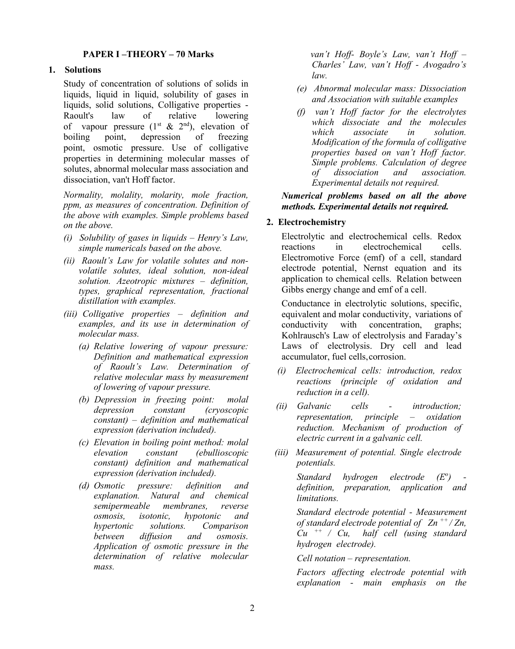## **PAPER I –THEORY – 70 Marks**

## **1. Solutions**

Study of concentration of solutions of solids in liquids, liquid in liquid, solubility of gases in liquids, solid solutions, Colligative properties - Raoult's law of relative lowering of vapour pressure  $(1<sup>st</sup> & 2<sup>nd</sup>)$ , elevation of boiling point, depression of freezing point, osmotic pressure. Use of colligative properties in determining molecular masses of solutes, abnormal molecular mass association and dissociation, van't Hoff factor.

*Normality, molality, molarity, mole fraction, ppm, as measures of concentration. Definition of the above with examples. Simple problems based on the above.*

- *(i) Solubility of gases in liquids – Henry's Law, simple numericals based on the above.*
- *(ii) Raoult's Law for volatile solutes and nonvolatile solutes, ideal solution, non-ideal solution. Azeotropic mixtures – definition, types, graphical representation, fractional distillation with examples.*
- *(iii) Colligative properties – definition and examples, and its use in determination of molecular mass.*
	- *(a) Relative lowering of vapour pressure: Definition and mathematical expression of Raoult's Law. Determination of relative molecular mass by measurement of lowering of vapour pressure.*
	- *(b) Depression in freezing point: molal depression constant (cryoscopic constant) – definition and mathematical expression (derivation included).*
	- *(c) Elevation in boiling point method: molal elevation constant (ebullioscopic constant) definition and mathematical expression (derivation included).*
	- *(d) Osmotic pressure: definition and explanation. Natural and chemical semipermeable membranes, reverse osmosis, isotonic, hypotonic and hypertonic solutions. Comparison between diffusion and osmosis. Application of osmotic pressure in the determination of relative molecular mass.*

 *van't Hoff- Boyle's Law, van't Hoff – Charles' Law, van't Hoff - Avogadro's law.* 

- *(e) Abnormal molecular mass: Dissociation and Association with suitable examples*
- *(f) van't Hoff factor for the electrolytes which dissociate and the molecules*  $asciate$ *Modification of the formula of colligative properties based on van't Hoff factor. Simple problems. Calculation of degree of dissociation Experimental details not required.*

## *Numerical problems based on all the above methods. Experimental details not required.*

## **2. Electrochemistry**

Electrolytic and electrochemical cells. Redox reactions in electrochemical cells. Electromotive Force (emf) of a cell, standard electrode potential, Nernst equation and its application to chemical cells. Relation between Gibbs energy change and emf of a cell.

Conductance in electrolytic solutions, specific, equivalent and molar conductivity, variations of conductivity with concentration, graphs; Kohlrausch's Law of electrolysis and Faraday's Laws of electrolysis. Dry cell and lead accumulator, fuel cells,corrosion.

- *(i) Electrochemical cells: introduction, redox reactions (principle of oxidation and reduction in a cell).*
- *(ii) Galvanic cells - introduction; representation, principle – oxidation reduction. Mechanism of production of electric current in a galvanic cell.*
- *(iii) Measurement of potential. Single electrode potentials.*

*Standard hydrogen electrode (Eo ) definition, preparation, application and limitations.*

*Standard electrode potential - Measurement of standard electrode potential of Zn ++ / Zn, Cu ++ / Cu, half cell (using standard hydrogen electrode).*

*Cell notation – representation.* 

*Factors affecting electrode potential with explanation - main emphasis on the*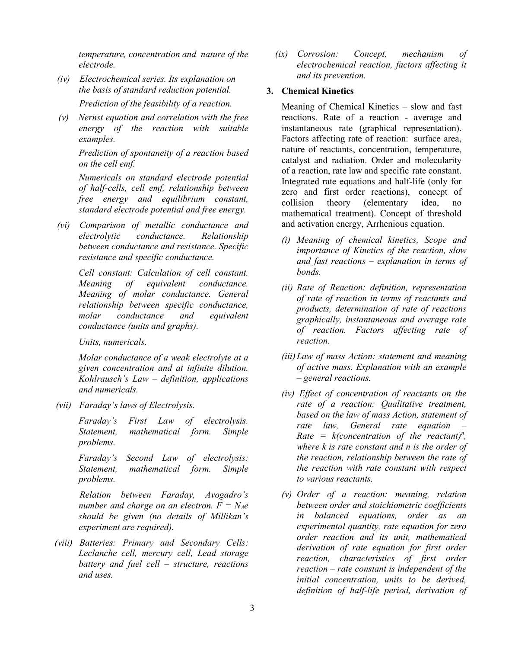*temperature, concentration and nature of the electrode.*

- *(iv) Electrochemical series. Its explanation on the basis of standard reduction potential. Prediction of the feasibility of a reaction.*
- *(v) Nernst equation and correlation with the free energy of the reaction with suitable examples.*

*Prediction of spontaneity of a reaction based on the cell emf.* 

*Numericals on standard electrode potential of half-cells, cell emf, relationship between free energy and equilibrium constant, standard electrode potential and free energy.*

*(vi) Comparison of metallic conductance and electrolytic conductance. Relationship between conductance and resistance. Specific resistance and specific conductance.* 

> *Cell constant: Calculation of cell constant. Meaning of equivalent conductance. Meaning of molar conductance. General relationship between specific conductance, molar conductance and equivalent conductance (units and graphs).*

*Units, numericals.*

*Molar conductance of a weak electrolyte at a given concentration and at infinite dilution. Kohlrausch's Law – definition, applications and numericals.*

*(vii) Faraday's laws of Electrolysis.*

*Faraday's First Law of electrolysis. Statement, mathematical form. Simple problems.* 

*Faraday's Second Law of electrolysis: Statement, mathematical form. Simple problems.*

*Relation between Faraday, Avogadro's number and charge on an electron.*  $F = N_Ae$ *should be given (no details of Millikan's experiment are required).*

*(viii) Batteries: Primary and Secondary Cells: Leclanche cell, mercury cell, Lead storage battery and fuel cell – structure, reactions and uses.*

*(ix) Corrosion: Concept, mechanism of electrochemical reaction, factors affecting it and its prevention.*

#### **3. Chemical Kinetics**

Meaning of Chemical Kinetics – slow and fast reactions. Rate of a reaction - average and instantaneous rate (graphical representation). Factors affecting rate of reaction: surface area, nature of reactants, concentration, temperature, catalyst and radiation. Order and molecularity of a reaction, rate law and specific rate constant. Integrated rate equations and half-life (only for zero and first order reactions), concept of collision theory (elementary idea, no mathematical treatment). Concept of threshold and activation energy, Arrhenious equation.

- *(i) Meaning of chemical kinetics, Scope and importance of Kinetics of the reaction, slow and fast reactions – explanation in terms of bonds.*
- *(ii) Rate of Reaction: definition, representation of rate of reaction in terms of reactants and products, determination of rate of reactions graphically, instantaneous and average rate of reaction. Factors affecting rate of reaction.*
- *(iii)Law of mass Action: statement and meaning of active mass. Explanation with an example – general reactions.*
- *(iv) Effect of concentration of reactants on the rate of a reaction: Qualitative treatment, based on the law of mass Action, statement of*  rate law, General rate equation *Rate* =  $k$ (*concentration of the reactant*)<sup>*n*</sup>, *where k is rate constant and n is the order of the reaction, relationship between the rate of the reaction with rate constant with respect to various reactants.*
- *(v) Order of a reaction: meaning, relation between order and stoichiometric coefficients in balanced equations, order as an experimental quantity, rate equation for zero order reaction and its unit, mathematical derivation of rate equation for first order reaction, characteristics of first order reaction – rate constant is independent of the initial concentration, units to be derived, definition of half-life period, derivation of*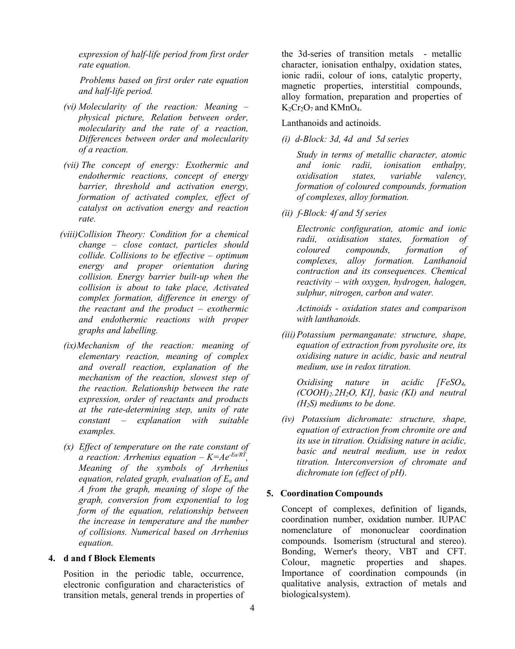*expression of half-life period from first order rate equation.*

 *Problems based on first order rate equation and half-life period.*

- *(vi) Molecularity of the reaction: Meaning – physical picture, Relation between order, molecularity and the rate of a reaction, Differences between order and molecularity of a reaction.*
- *(vii) The concept of energy: Exothermic and endothermic reactions, concept of energy barrier, threshold and activation energy, formation of activated complex, effect of catalyst on activation energy and reaction rate.*
- *(viii)Collision Theory: Condition for a chemical change – close contact, particles should collide. Collisions to be effective – optimum energy and proper orientation during collision. Energy barrier built-up when the collision is about to take place, Activated complex formation, difference in energy of the reactant and the product – exothermic and endothermic reactions with proper graphs and labelling.*
- *(ix)Mechanism of the reaction: meaning of elementary reaction, meaning of complex and overall reaction, explanation of the mechanism of the reaction, slowest step of the reaction. Relationship between the rate expression, order of reactants and products at the rate-determining step, units of rate constant – explanation with suitable examples.*
- *(x) Effect of temperature on the rate constant of a reaction: Arrhenius equation – K=Ae-Ea/RT, Meaning of the symbols of Arrhenius equation, related graph, evaluation of Ea and A from the graph, meaning of slope of the graph, conversion from exponential to log form of the equation, relationship between the increase in temperature and the number of collisions. Numerical based on Arrhenius equation.*

#### **4. d and f Block Elements**

Position in the periodic table, occurrence, electronic configuration and characteristics of transition metals, general trends in properties of

the 3d-series of transition metals - metallic character, ionisation enthalpy, oxidation states, ionic radii, colour of ions, catalytic property, magnetic properties, interstitial compounds, alloy formation, preparation and properties of  $K_2Cr_2O_7$  and  $KMnO_4$ .

Lanthanoids and actinoids.

*(i) d-Block: 3d, 4d and 5d series*

*Study in terms of metallic character, atomic ionisation enthalpy, oxidisation states, variable valency, formation of coloured compounds, formation of complexes, alloy formation.*

*(ii) f-Block: 4f and 5f series* 

*Electronic configuration, atomic and ionic radii, oxidisation states, formation of coloured compounds, formation of complexes, alloy formation. Lanthanoid contraction and its consequences. Chemical reactivity – with oxygen, hydrogen, halogen, sulphur, nitrogen, carbon and water.*

*Actinoids - oxidation states and comparison with lanthanoids.*

*(iii)Potassium permanganate: structure, shape, equation of extraction from pyrolusite ore, its oxidising nature in acidic, basic and neutral medium, use in redox titration.*

*Oxidising nature in acidic [FeSO4, (COOH)2.2H2O, KI], basic (KI) and neutral (H2S) mediums to be done.*

*(iv) Potassium dichromate: structure, shape, equation of extraction from chromite ore and its use in titration. Oxidising nature in acidic, basic and neutral medium, use in redox titration. Interconversion of chromate and dichromate ion (effect of pH).*

#### **5. Coordination Compounds**

Concept of complexes, definition of ligands, coordination number, oxidation number. IUPAC nomenclature of mononuclear coordination compounds. Isomerism (structural and stereo). Bonding, Werner's theory, VBT and CFT. Colour, magnetic properties and shapes. Importance of coordination compounds (in qualitative analysis, extraction of metals and biologicalsystem).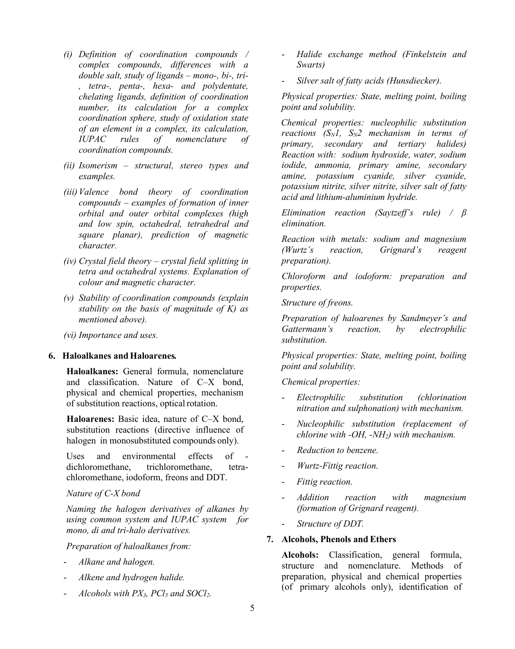- *(i) Definition of coordination compounds / complex compounds, differences with a double salt, study of ligands – mono-, bi-, tri- , tetra-, penta-, hexa- and polydentate, chelating ligands, definition of coordination number, its calculation for a complex coordination sphere, study of oxidation state of an element in a complex, its calculation, IUPAC rules of nomenclature of coordination compounds.*
- *(ii) Isomerism – structural, stereo types and examples.*
- *(iii)Valence bond theory of coordination compounds – examples of formation of inner orbital and outer orbital complexes (high and low spin, octahedral, tetrahedral and square planar), prediction of magnetic character.*
- *(iv) Crystal field theory – crystal field splitting in tetra and octahedral systems. Explanation of colour and magnetic character.*
- *(v) Stability of coordination compounds (explain stability on the basis of magnitude of K) as mentioned above).*
- *(vi) Importance and uses.*

## **6. Haloalkanes and Haloarenes***.*

**Haloalkanes:** General formula, nomenclature and classification. Nature of C–X bond, physical and chemical properties, mechanism of substitution reactions, optical rotation.

**Haloarenes:** Basic idea, nature of C–X bond, substitution reactions (directive influence of halogen in monosubstituted compounds only).

Uses and environmental effects of dichloromethane, trichloromethane, tetrachloromethane, iodoform, freons and DDT.

*Nature of C-X bond*

*Naming the halogen derivatives of alkanes by using common system and IUPAC system for mono, di and tri-halo derivatives.*

*Preparation of haloalkanes from:*

- *Alkane and halogen.*
- *Alkene and hydrogen halide.*
- *Alcohols with PX<sub>3</sub>, PCl<sub>5</sub> and SOCl<sub>2</sub>.*
- *Halide exchange method (Finkelstein and Swarts)*
- *Silver salt of fatty acids (Hunsdiecker).*

*Physical properties: State, melting point, boiling point and solubility.* 

*Chemical properties: nucleophilic substitution reactions*  $(S_NI, S_N2$  *mechanism in terms of primary, secondary and tertiary halides) Reaction with: sodium hydroxide, water, sodium iodide, ammonia, primary amine, secondary amine, potassium cyanide, silver cyanide, potassium nitrite, silver nitrite, silver salt of fatty acid and lithium-aluminium hydride.* 

*Elimination reaction (Saytzeff's rule) / β elimination.*

*Reaction with metals: sodium and magnesium (Wurtz's reaction, Grignard's reagent preparation).*

*Chloroform and iodoform: preparation and properties.*

*Structure of freons.*

*Preparation of haloarenes by Sandmeyer's and Gattermann's reaction, by electrophilic substitution.*

*Physical properties: State, melting point, boiling point and solubility.*

*Chemical properties:*

- *Electrophilic substitution (chlorination nitration and sulphonation) with mechanism.*
- *Nucleophilic substitution (replacement of chlorine with -OH, -NH2) with mechanism.*
- *Reduction to benzene.*
- *Wurtz-Fittig reaction.*
- *Fittig reaction.*
- *Addition reaction with magnesium (formation of Grignard reagent).*
- *Structure of DDT.*

#### **7. Alcohols, Phenols and Ethers**

**Alcohols:** Classification, general formula, structure and nomenclature. Methods of preparation, physical and chemical properties (of primary alcohols only), identification of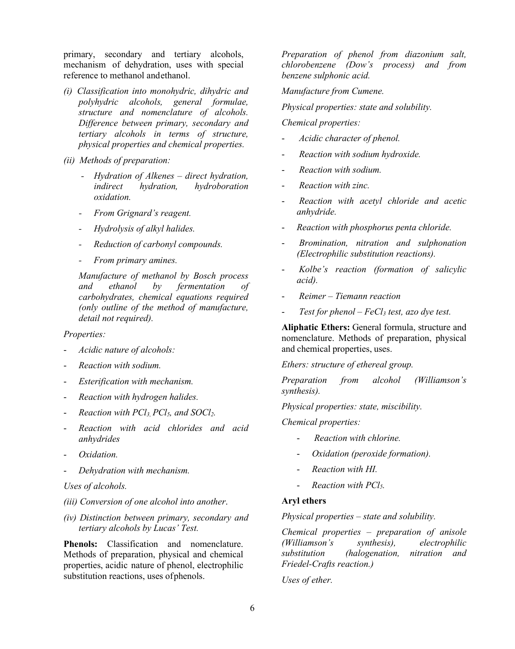primary, secondary and tertiary alcohols, mechanism of dehydration, uses with special reference to methanol andethanol.

- *(i) Classification into monohydric, dihydric and polyhydric alcohols, general formulae, structure and nomenclature of alcohols. Difference between primary, secondary and tertiary alcohols in terms of structure, physical properties and chemical properties.*
- *(ii) Methods of preparation:* 
	- *Hydration of Alkenes – direct hydration, indirect hydration, hydroboration oxidation.*
	- *From Grignard's reagent.*
	- *Hydrolysis of alkyl halides.*
	- *Reduction of carbonyl compounds.*
	- *From primary amines.*

*Manufacture of methanol by Bosch process and ethanol by fermentation of carbohydrates, chemical equations required (only outline of the method of manufacture, detail not required).*

#### *Properties:*

- *Acidic nature of alcohols:*
- *Reaction with sodium.*
- *Esterification with mechanism.*
- *Reaction with hydrogen halides.*
- *Reaction with PCl3, PCl5, and SOCl2.*
- *Reaction with acid chlorides and acid anhydrides*
- *Oxidation.*
- *Dehydration with mechanism.*

#### *Uses of alcohols.*

- *(iii) Conversion of one alcohol into another*.
- *(iv) Distinction between primary, secondary and tertiary alcohols by Lucas' Test.*

**Phenols:** Classification and nomenclature. Methods of preparation, physical and chemical properties, acidic nature of phenol, electrophilic substitution reactions, uses ofphenols.

*Preparation of phenol from diazonium salt, chlorobenzene (Dow's process) and from benzene sulphonic acid.*

*Manufacture from Cumene.*

*Physical properties: state and solubility.*

*Chemical properties:* 

- *Acidic character of phenol.*
- *Reaction with sodium hydroxide.*
- *Reaction with sodium.*
- *Reaction with zinc.*
- *Reaction with acetyl chloride and acetic anhydride.*
- *Reaction with phosphorus penta chloride.*
- *Bromination, nitration and sulphonation (Electrophilic substitution reactions).*
- *Kolbe's reaction (formation of salicylic acid).*
- *Reimer – Tiemann reaction*
- *Test for phenol – FeCl3 test, azo dye test.*

**Aliphatic Ethers:** General formula, structure and nomenclature. Methods of preparation, physical and chemical properties, uses.

*Ethers: structure of ethereal group.*

*Preparation from alcohol (Williamson's synthesis).* 

*Physical properties: state, miscibility.*

*Chemical properties:* 

- *Reaction with chlorine.*
- *Oxidation (peroxide formation).*
- *Reaction with HI.*
- *Reaction with PCI<sub>5</sub>*.

#### **Aryl ethers**

*Physical properties – state and solubility.*

*Chemical properties – preparation of anisole (Williamson's synthesis), electrophilic substitution (halogenation, nitration and Friedel-Crafts reaction.)*

*Uses of ether.*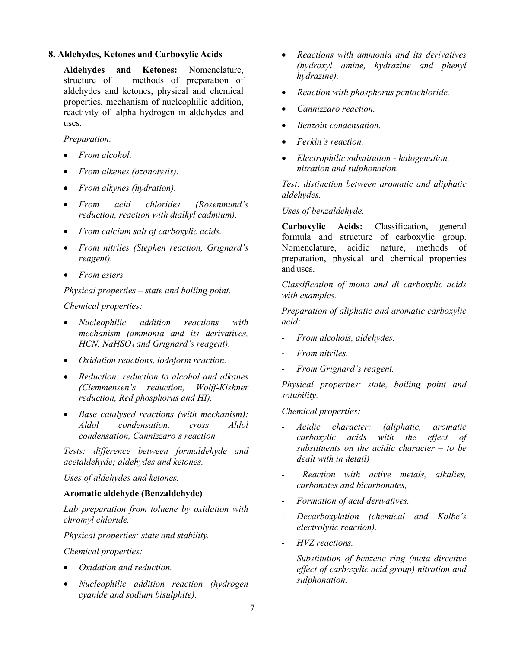## **8. Aldehydes, Ketones and Carboxylic Acids**

Aldehydes and Ketones: Nomenclature,<br>structure of methods of preparation of methods of preparation of aldehydes and ketones, physical and chemical properties, mechanism of nucleophilic addition, reactivity of alpha hydrogen in aldehydes and uses.

## *Preparation:*

- *From alcohol.*
- *From alkenes (ozonolysis).*
- *From alkynes (hydration).*
- *From acid chlorides (Rosenmund's reduction, reaction with dialkyl cadmium).*
- *From calcium salt of carboxylic acids.*
- *From nitriles (Stephen reaction, Grignard's reagent).*
- *From esters.*

*Physical properties – state and boiling point.*

*Chemical properties:*

- *Nucleophilic addition reactions with mechanism (ammonia and its derivatives, HCN, NaHSO3 and Grignard's reagent).*
- *Oxidation reactions, iodoform reaction.*
- *Reduction: reduction to alcohol and alkanes (Clemmensen's reduction, Wolff-Kishner reduction, Red phosphorus and HI).*
- *Base catalysed reactions (with mechanism): Aldol condensation, cross Aldol condensation, Cannizzaro's reaction.*

*Tests: difference between formaldehyde and acetaldehyde; aldehydes and ketones.*

*Uses of aldehydes and ketones.*

## **Aromatic aldehyde (Benzaldehyde)**

*Lab preparation from toluene by oxidation with chromyl chloride.* 

*Physical properties: state and stability.*

*Chemical properties:*

- *Oxidation and reduction.*
- *Nucleophilic addition reaction (hydrogen cyanide and sodium bisulphite).*
- *Reactions with ammonia and its derivatives (hydroxyl amine, hydrazine and phenyl hydrazine).*
- *Reaction with phosphorus pentachloride.*
- *Cannizzaro reaction.*
- *Benzoin condensation.*
- *Perkin's reaction.*
- *Electrophilic substitution - halogenation, nitration and sulphonation.*

*Test: distinction between aromatic and aliphatic aldehydes.* 

## *Uses of benzaldehyde.*

**Carboxylic Acids:** Classification, general formula and structure of carboxylic group. Nomenclature, acidic nature, methods of preparation, physical and chemical properties and uses.

*Classification of mono and di carboxylic acids with examples.* 

*Preparation of aliphatic and aromatic carboxylic acid:*

- *From alcohols, aldehydes.*
- *From nitriles.*
- *From Grignard's reagent.*

*Physical properties: state, boiling point and solubility.*

*Chemical properties:*

- *- Acidic character: (aliphatic, aromatic carboxylic acids with the effect of substituents on the acidic character – to be dealt with in detail)*
- *- Reaction with active metals, alkalies, carbonates and bicarbonates,*
- *- Formation of acid derivatives.*
- *- Decarboxylation (chemical and Kolbe's electrolytic reaction).*
- *- HVZ reactions.*
- *Substitution of benzene ring (meta directive effect of carboxylic acid group) nitration and sulphonation.*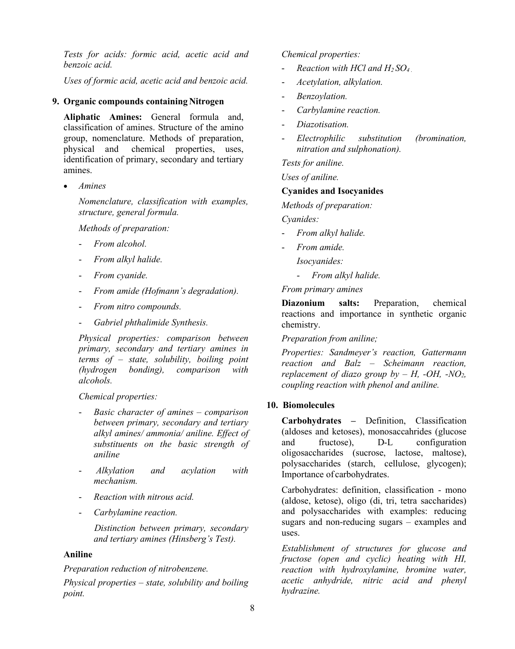*Tests for acids: formic acid, acetic acid and benzoic acid.* 

*Uses of formic acid, acetic acid and benzoic acid.* 

#### **9. Organic compounds containing Nitrogen**

**Aliphatic Amines:** General formula and, classification of amines. Structure of the amino group, nomenclature. Methods of preparation, physical and chemical properties, uses, identification of primary, secondary and tertiary amines.

• *Amines*

*Nomenclature, classification with examples, structure, general formula.* 

*Methods of preparation:*

- *From alcohol.*
- *From alkyl halide.*
- *From cyanide.*
- *From amide (Hofmann's degradation).*
- *From nitro compounds.*
- *Gabriel phthalimide Synthesis.*

*Physical properties: comparison between primary, secondary and tertiary amines in terms of – state, solubility, boiling point (hydrogen bonding), comparison with alcohols.* 

*Chemical properties:* 

- *Basic character of amines – comparison between primary, secondary and tertiary alkyl amines/ ammonia/ aniline. Effect of substituents on the basic strength of aniline*
- *Alkylation and acylation with mechanism.*
- *Reaction with nitrous acid.*
- *Carbylamine reaction.*

*Distinction between primary, secondary and tertiary amines (Hinsberg's Test).*

## **Aniline**

*Preparation reduction of nitrobenzene.* 

*Physical properties – state, solubility and boiling point.*

*Chemical properties:*

- *Reaction with HCl and H<sub>2</sub> SO<sub>4</sub>*
- *Acetylation, alkylation.*
- *Benzoylation.*
- *Carbylamine reaction.*
- *Diazotisation.*
- *Electrophilic substitution (bromination, nitration and sulphonation).*

*Tests for aniline.*

*Uses of aniline.*

#### **Cyanides and Isocyanides**

*Methods of preparation:*

*Cyanides:*

- *From alkyl halide.*
- *From amide.*

*Isocyanides:*

- *From alkyl halide.*

*From primary amines*

**Diazonium** salts: Preparation, chemical reactions and importance in synthetic organic chemistry.

*Preparation from aniline;* 

*Properties: Sandmeyer's reaction, Gattermann reaction and Balz – Scheimann reaction, replacement of diazo group by – H, -OH, -NO<sub>2</sub>, coupling reaction with phenol and aniline.*

#### **10. Biomolecules**

**Carbohydrates –** Definition, Classification (aldoses and ketoses), monosaccahrides (glucose and fructose), D-L configuration oligosaccharides (sucrose, lactose, maltose), polysaccharides (starch, cellulose, glycogen); Importance of carbohydrates.

Carbohydrates: definition, classification - mono (aldose, ketose), oligo (di, tri, tetra saccharides) and polysaccharides with examples: reducing sugars and non-reducing sugars – examples and uses.

*Establishment of structures for glucose and fructose (open and cyclic) heating with HI, reaction with hydroxylamine, bromine water, acetic anhydride, nitric acid and phenyl hydrazine.*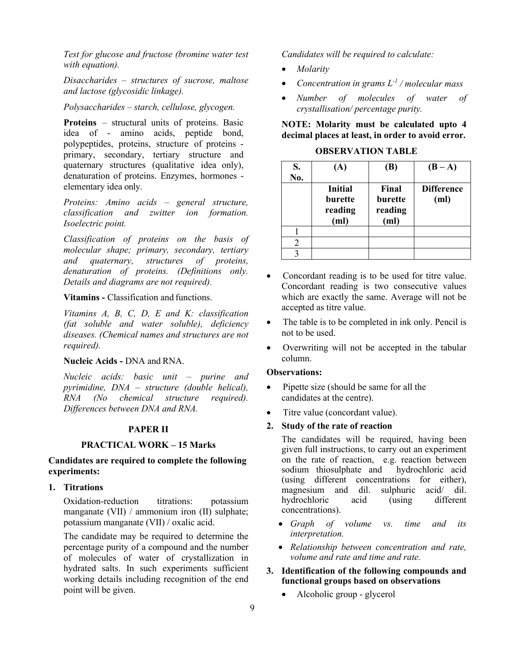*Test for glucose and fructose (bromine water test with equation).*

*Disaccharides – structures of sucrose, maltose and lactose (glycosidic linkage).*

*Polysaccharides – starch, cellulose, glycogen.*

**Proteins** – structural units of proteins. Basic idea of - amino acids, peptide bond, polypeptides, proteins, structure of proteins primary, secondary, tertiary structure and quaternary structures (qualitative idea only), denaturation of proteins. Enzymes, hormones elementary idea only.

*Proteins: Amino acids – general structure, classification and zwitter ion formation. Isoelectric point.* 

*Classification of proteins on the basis of molecular shape; primary, secondary, tertiary and quaternary, structures of proteins, denaturation of proteins. (Definitions only. Details and diagrams are not required).*

**Vitamins -** Classification and functions.

*Vitamins A, B, C, D, E and K: classification (fat soluble and water soluble), deficiency diseases. (Chemical names and structures are not required).*

#### **Nucleic Acids -** DNA and RNA.

*Nucleic acids: basic unit – purine and pyrimidine, DNA – structure (double helical), RNA (No chemical structure required). Differences between DNA and RNA.*

#### **PAPER II**

#### **PRACTICAL WORK – 15 Marks**

#### **Candidates are required to complete the following experiments:**

**1. Titrations**

Oxidation-reduction titrations: potassium manganate (VII) / ammonium iron (II) sulphate; potassium manganate (VII) / oxalic acid.

The candidate may be required to determine the percentage purity of a compound and the number of molecules of water of crystallization in hydrated salts. In such experiments sufficient working details including recognition of the end point will be given.

*Candidates will be required to calculate:*

- *Molarity*
- *Concentration in grams L-1 / molecular mass*
- *Number of molecules of water of crystallisation/ percentage purity.*

**NOTE: Molarity must be calculated upto 4 decimal places at least, in order to avoid error.**

| S.<br>No. | (A)                                                       | (B)                                 | $(B-A)$                                |
|-----------|-----------------------------------------------------------|-------------------------------------|----------------------------------------|
|           | <b>Initial</b><br>burette<br>reading<br>(m <sub>l</sub> ) | Final<br>burette<br>reading<br>(ml) | <b>Difference</b><br>(m <sub>l</sub> ) |
|           |                                                           |                                     |                                        |
| 2         |                                                           |                                     |                                        |
| 3         |                                                           |                                     |                                        |

**OBSERVATION TABLE**

- Concordant reading is to be used for titre value. Concordant reading is two consecutive values which are exactly the same. Average will not be accepted as titre value.
- The table is to be completed in ink only. Pencil is not to be used.
- Overwriting will not be accepted in the tabular column.

#### **Observations:**

- Pipette size (should be same for all the candidates at the centre).
- Titre value (concordant value).

#### **2. Study of the rate of reaction**

The candidates will be required, having been given full instructions, to carry out an experiment on the rate of reaction, e.g. reaction between<br>sodium thiosulphate and hydrochloric acid sodium thiosulphate and (using different concentrations for either), magnesium and dil. sulphuric acid/ dil. hydrochloric acid (using different concentrations).

- *Graph of volume vs. time and its interpretation.*
- *Relationship between concentration and rate, volume and rate and time and rate.*
- **3. Identification of the following compounds and functional groups based on observations**
	- Alcoholic group glycerol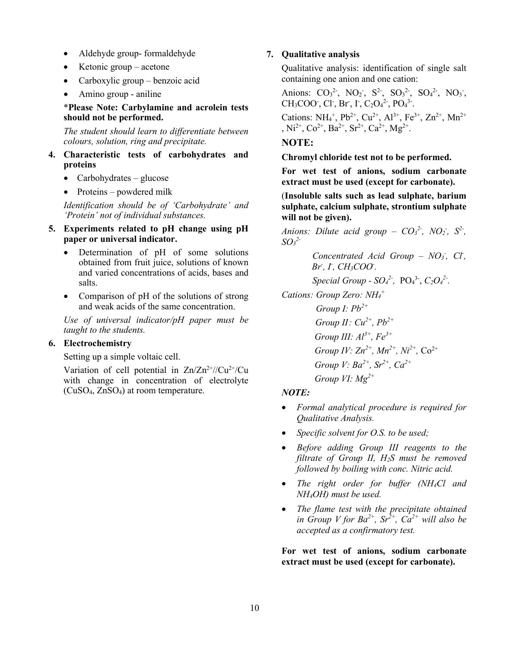- Aldehyde group-formaldehyde
- Ketonic group acetone
- Carboxylic group benzoic acid
- Amino group aniline

\***Please Note: Carbylamine and acrolein tests should not be performed.** 

*The student should learn to differentiate between colours, solution, ring and precipitate.* 

- **4. Characteristic tests of carbohydrates and proteins**
	- Carbohydrates glucose
	- Proteins powdered milk

*Identification should be of 'Carbohydrate' and 'Protein' not of individual substances.*

- **5. Experiments related to pH change using pH paper or universal indicator.**
	- Determination of pH of some solutions obtained from fruit juice, solutions of known and varied concentrations of acids, bases and salts.
	- Comparison of pH of the solutions of strong and weak acids of the same concentration.

*Use of universal indicator/pH paper must be taught to the students.*

## **6. Electrochemistry**

Setting up a simple voltaic cell.

Variation of cell potential in  $Zn/Zn^{2+}/Cu^{2+}/Cu$ with change in concentration of electrolyte (CuSO4, ZnSO4) at room temperature.

#### **7. Qualitative analysis**

Qualitative analysis: identification of single salt containing one anion and one cation:

Anions:  $CO_3^2$ ,  $NO_2$ ,  $S^2$ ,  $SO_3^2$ ,  $SO_4^2$ ,  $NO_3$ ,  $CH<sub>3</sub>COO$ , Cl, Br, I,  $C<sub>2</sub>O<sub>4</sub><sup>2</sup>$ , PO<sub>4</sub><sup>3</sup>.

Cations: NH<sub>4</sub><sup>+</sup>, Pb<sup>2+</sup>, Cu<sup>2+</sup>, Al<sup>3+</sup>, Fe<sup>3+</sup>, Zn<sup>2+</sup>, Mn<sup>2+</sup> ,  $Ni^{2+}$ ,  $Co^{2+}$ ,  $Ba^{2+}$ ,  $Sr^{2+}$ ,  $Ca^{2+}$ ,  $Mg^{2+}$ .

## **NOTE:**

**Chromyl chloride test not to be performed.**

**For wet test of anions, sodium carbonate extract must be used (except for carbonate).**

(**Insoluble salts such as lead sulphate, barium sulphate, calcium sulphate, strontium sulphate will not be given).**

*Anions: Dilute acid group –*  $CO_3^2$ *, NO<sub>2</sub>, S<sup>2</sup>, SO3 2-*

> Concentrated Acid Group –  $NO_3$ <sup>-</sup>, Cl<sup>-</sup>, *Br- , I- , CH3COO- .*

*Special Group -*  $SO_4^2$ ,  $PO_4^3$ ,  $C_2O_4^2$ .

*Cations: Group Zero: NH4 +*

*Group I: Pb2+ Group II: Cu2+, Pb2+ Group III: Al3+, Fe3+ Group IV:*  $Zn^{2+}$ *, Mn*<sup>2+</sup>, Ni<sup>2+</sup>, Co<sup>2+</sup> *Group V: Ba2+, Sr2+, Ca2+ Group VI: Mg2+*

## *NOTE:*

- *Formal analytical procedure is required for Qualitative Analysis.*
- *Specific solvent for O.S. to be used;*
- *Before adding Group III reagents to the filtrate of Group II, H2S must be removed followed by boiling with conc. Nitric acid.*
- *The right order for buffer (NH4Cl and NH4OH) must be used.*
- *The flame test with the precipitate obtained in Group V for Ba*<sup>2+</sup>,  $Sr^{2+}$ ,  $C\hat{a}^{2+}$  *will also be accepted as a confirmatory test.*

**For wet test of anions, sodium carbonate extract must be used (except for carbonate).**